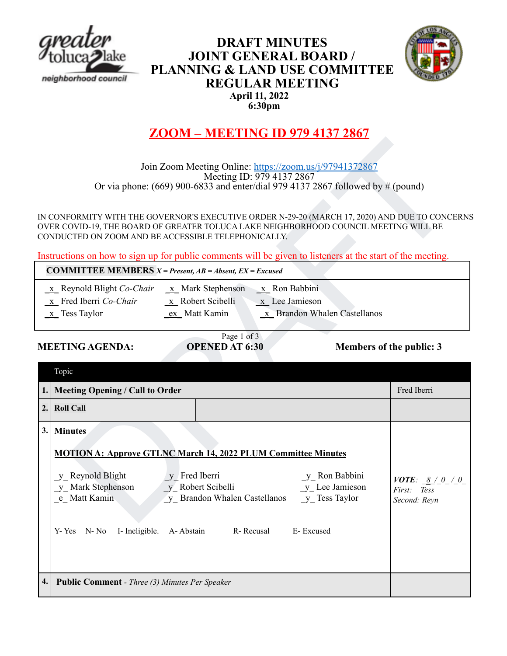

# **DRAFT MINUTES JOINT GENERAL BOARD / PLANNING & LAND USE COMMITTEE REGULAR MEETING April 11, 2022 6:30pm**



# **ZOOM – MEETING ID 979 4137 2867**

| <b>COMMITTEE MEMBERS</b> $X = Present$ , $AB = Absent$ , $EX = Excused$ |                     |                              |  |  |
|-------------------------------------------------------------------------|---------------------|------------------------------|--|--|
| $\underline{x}$ Reynold Blight Co-Chair                                 | $x$ Mark Stephenson | $\underline{x}$ Ron Babbini  |  |  |
| x Fred Iberri Co-Chair                                                  | x Robert Scibelli   | $x$ Lee Jamieson             |  |  |
| $\underline{x}$ Tess Taylor                                             | ex Matt Kamin       | x Brandon Whalen Castellanos |  |  |

# Page 1 of 3

# **MEETING AGENDA: OPENED AT 6:30 Members of the public: 3**

|          | Join Zoom Meeting Online: https://zoom.us/j/97941372867<br>Meeting ID: 979 4137 2867<br>Or via phone: $(669)$ 900-6833 and enter/dial 979 4137 2867 followed by # (pound)                                                                                                                                                                                                                              |                                                                        |
|----------|--------------------------------------------------------------------------------------------------------------------------------------------------------------------------------------------------------------------------------------------------------------------------------------------------------------------------------------------------------------------------------------------------------|------------------------------------------------------------------------|
|          | IN CONFORMITY WITH THE GOVERNOR'S EXECUTIVE ORDER N-29-20 (MARCH 17, 2020) AND DUE TO CONCERNS<br>OVER COVID-19, THE BOARD OF GREATER TOLUCA LAKE NEIGHBORHOOD COUNCIL MEETING WILL BE<br>CONDUCTED ON ZOOM AND BE ACCESSIBLE TELEPHONICALLY.<br>Instructions on how to sign up for public comments will be given to listeners at the start of the meeting.                                            |                                                                        |
|          | <b>COMMITTEE MEMBERS</b> $X = Present$ , $AB = Absent$ , $EX = Excused$                                                                                                                                                                                                                                                                                                                                |                                                                        |
|          | $\underline{x}$ Reynold Blight Co-Chair<br>$\underline{x}$ Mark Stephenson $\underline{x}$ Ron Babbini<br>x Fred Iberri Co-Chair<br>$x$ Robert Scibelli<br>$x$ Lee Jamieson<br>$x$ Tess Taylor<br>ex_Matt Kamin<br>$\underline{x}$ Brandon Whalen Castellanos<br>Page 1 of 3                                                                                                                           |                                                                        |
|          | <b>MEETING AGENDA:</b><br><b>OPENED AT 6:30</b><br>Members of the public: 3                                                                                                                                                                                                                                                                                                                            |                                                                        |
|          |                                                                                                                                                                                                                                                                                                                                                                                                        |                                                                        |
|          |                                                                                                                                                                                                                                                                                                                                                                                                        |                                                                        |
|          | Topic                                                                                                                                                                                                                                                                                                                                                                                                  |                                                                        |
|          | <b>Meeting Opening / Call to Order</b>                                                                                                                                                                                                                                                                                                                                                                 | Fred Iberri                                                            |
| 2.       | <b>Roll Call</b>                                                                                                                                                                                                                                                                                                                                                                                       |                                                                        |
| 3.<br>4. | <b>Minutes</b><br><b>MOTION A: Approve GTLNC March 14, 2022 PLUM Committee Minutes</b><br>y Reynold Blight<br>y Fred Iberri<br>y Ron Babbini<br>y Mark Stephenson<br>y Robert Scibelli<br>y Lee Jamieson<br>e Matt Kamin<br>y Brandon Whalen Castellanos y Tess Taylor<br>I- Ineligible.<br>R-Recusal<br>E-Excused<br>Y-Yes N-No<br>A-Abstain<br><b>Public Comment - Three (3) Minutes Per Speaker</b> | <b>VOTE:</b> $\underline{8} / 0 / 0$<br>First:<br>Tess<br>Second: Reyn |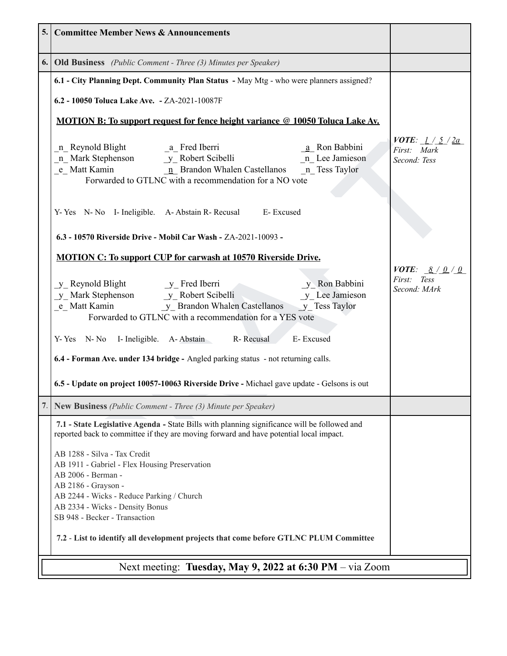| 5. Committee Member News & Announcements                                                                                                                                                                                                                                                                                                                                                                                                                                                                                       |                                                                                         |
|--------------------------------------------------------------------------------------------------------------------------------------------------------------------------------------------------------------------------------------------------------------------------------------------------------------------------------------------------------------------------------------------------------------------------------------------------------------------------------------------------------------------------------|-----------------------------------------------------------------------------------------|
| <b>6.</b> Old Business (Public Comment - Three (3) Minutes per Speaker)                                                                                                                                                                                                                                                                                                                                                                                                                                                        |                                                                                         |
| 6.1 - City Planning Dept. Community Plan Status - May Mtg - who were planners assigned?                                                                                                                                                                                                                                                                                                                                                                                                                                        |                                                                                         |
| 6.2 - 10050 Toluca Lake Ave. - ZA-2021-10087F                                                                                                                                                                                                                                                                                                                                                                                                                                                                                  |                                                                                         |
| <b>MOTION B:</b> To support request for fence height variance @ 10050 Toluca Lake Av.                                                                                                                                                                                                                                                                                                                                                                                                                                          |                                                                                         |
| n Reynold Blight<br>_a_ Fred Iberri<br>a Ron Babbini<br>n Lee Jamieson<br>n Mark Stephenson<br>e Matt Kamin 1. De Jamiesc 1. De Jamiesc 1. De Samiesc 1. De Stephenson<br><u>n</u> Brandon Whalen Castellanos 1. Tess Taylor<br>e_Matt Kamin<br>Forwarded to GTLNC with a recommendation for a NO vote                                                                                                                                                                                                                         | <i>VOTE</i> : $1/5/2a$<br>First: Mark<br>Second: Tess                                   |
| Y-Yes N-No I- Ineligible. A-Abstain R-Recusal E-Excused                                                                                                                                                                                                                                                                                                                                                                                                                                                                        |                                                                                         |
| 6.3 - 10570 Riverside Drive - Mobil Car Wash - ZA-2021-10093 -                                                                                                                                                                                                                                                                                                                                                                                                                                                                 |                                                                                         |
| <b>MOTION C: To support CUP for carwash at 10570 Riverside Drive.</b><br>y Reynold Blight<br>y Robert Scibelli<br>e Matt Kamin<br>y Brandon Whalen Castellanos<br>y Tess Taylor<br>y Brandon Whalen Castellanos<br>y Tess Taylor<br>$y_R$ Ron Babbini<br>$y_L$ Lee Jamieson<br>Forwarded to GTLNC with a recommendation for a YES vote<br>E-Excused<br>Y-Yes N-No I-Ineligible. A-Abstain R-Recusal<br>6.4 - Forman Ave. under 134 bridge - Angled parking status - not returning calls.                                       | <i>VOTE:</i> $\underline{8}/\underline{0}/\underline{0}$<br>First: Tess<br>Second: MArk |
| 6.5 - Update on project 10057-10063 Riverside Drive - Michael gave update - Gelsons is out                                                                                                                                                                                                                                                                                                                                                                                                                                     |                                                                                         |
| 7.<br><b>New Business</b> (Public Comment - Three (3) Minute per Speaker)                                                                                                                                                                                                                                                                                                                                                                                                                                                      |                                                                                         |
| 7.1 - State Legislative Agenda - State Bills with planning significance will be followed and<br>reported back to committee if they are moving forward and have potential local impact.<br>AB 1288 - Silva - Tax Credit<br>AB 1911 - Gabriel - Flex Housing Preservation<br>AB 2006 - Berman -<br>AB 2186 - Grayson -<br>AB 2244 - Wicks - Reduce Parking / Church<br>AB 2334 - Wicks - Density Bonus<br>SB 948 - Becker - Transaction<br>7.2 - List to identify all development projects that come before GTLNC PLUM Committee |                                                                                         |
| Next meeting: Tuesday, May 9, 2022 at 6:30 PM - via Zoom                                                                                                                                                                                                                                                                                                                                                                                                                                                                       |                                                                                         |